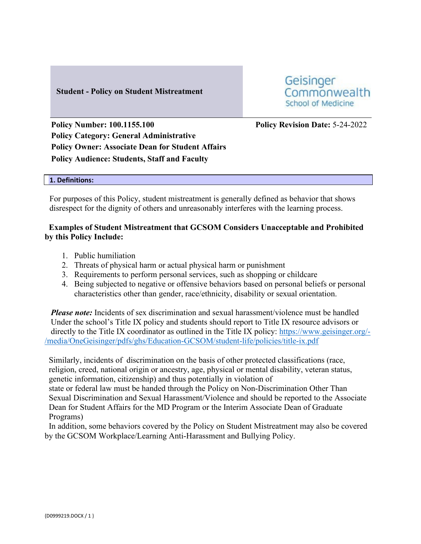## **Student - Policy on Student Mistreatment**

Geisinger Commonwealth School of Medicine

**Policy Number: 100.1155.100 Policy Revision Date:** 5-24-2022 **Policy Category: General Administrative Policy Owner: Associate Dean for Student Affairs Policy Audience: Students, Staff and Faculty**

#### **1. Definitions:**

For purposes of this Policy, student mistreatment is generally defined as behavior that shows disrespect for the dignity of others and unreasonably interferes with the learning process.

## **Examples of Student Mistreatment that GCSOM Considers Unacceptable and Prohibited by this Policy Include:**

- 1. Public humiliation
- 2. Threats of physical harm or actual physical harm or punishment
- 3. Requirements to perform personal services, such as shopping or childcare
- 4. Being subjected to negative or offensive behaviors based on personal beliefs or personal characteristics other than gender, race/ethnicity, disability or sexual orientation.

*Please note:* Incidents of sex discrimination and sexual harassment/violence must be handled Under the school's Title IX policy and students should report to Title IX resource advisors or directly to the Title IX coordinator as outlined in the Title IX policy: [https://www.geisinger.org/-](https://www.geisinger.org/-/media/OneGeisinger/pdfs/ghs/Education-GCSOM/student-life/policies/title-ix.pdf) [/media/OneGeisinger/pdfs/ghs/Education-GCSOM/student-life/policies/title-ix.pdf](https://www.geisinger.org/-/media/OneGeisinger/pdfs/ghs/Education-GCSOM/student-life/policies/title-ix.pdf)

Similarly, incidents of discrimination on the basis of other protected classifications (race, religion, creed, national origin or ancestry, age, physical or mental disability, veteran status, genetic information, citizenship) and thus potentially in violation of state or federal law must be handed through the Policy on Non-Discrimination Other Than Sexual Discrimination and Sexual Harassment/Violence and should be reported to the Associate Dean for Student Affairs for the MD Program or the Interim Associate Dean of Graduate Programs)

 In addition, some behaviors covered by the Policy on Student Mistreatment may also be covered by the GCSOM Workplace/Learning Anti-Harassment and Bullying Policy.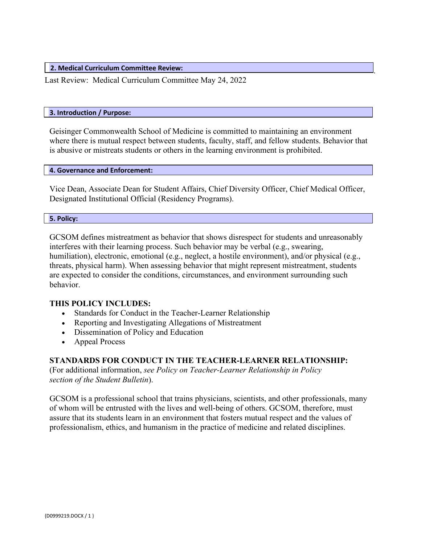**2. Medical Curriculum Committee Review:**

Last Review: Medical Curriculum Committee May 24, 2022

#### **3. Introduction / Purpose:**

Geisinger Commonwealth School of Medicine is committed to maintaining an environment where there is mutual respect between students, faculty, staff, and fellow students. Behavior that is abusive or mistreats students or others in the learning environment is prohibited.

.

#### **4. Governance and Enforcement:**

Vice Dean, Associate Dean for Student Affairs, Chief Diversity Officer, Chief Medical Officer, Designated Institutional Official (Residency Programs).

#### **5. Policy:**

GCSOM defines mistreatment as behavior that shows disrespect for students and unreasonably interferes with their learning process. Such behavior may be verbal (e.g., swearing, humiliation), electronic, emotional (e.g., neglect, a hostile environment), and/or physical (e.g., threats, physical harm). When assessing behavior that might represent mistreatment, students are expected to consider the conditions, circumstances, and environment surrounding such behavior.

#### **THIS POLICY INCLUDES:**

- Standards for Conduct in the Teacher-Learner Relationship
- Reporting and Investigating Allegations of Mistreatment
- Dissemination of Policy and Education
- Appeal Process

# **STANDARDS FOR CONDUCT IN THE TEACHER-LEARNER RELATIONSHIP:**

(For additional information, *see Policy on Teacher-Learner Relationship in Policy section of the Student Bulletin*).

GCSOM is a professional school that trains physicians, scientists, and other professionals, many of whom will be entrusted with the lives and well-being of others. GCSOM, therefore, must assure that its students learn in an environment that fosters mutual respect and the values of professionalism, ethics, and humanism in the practice of medicine and related disciplines.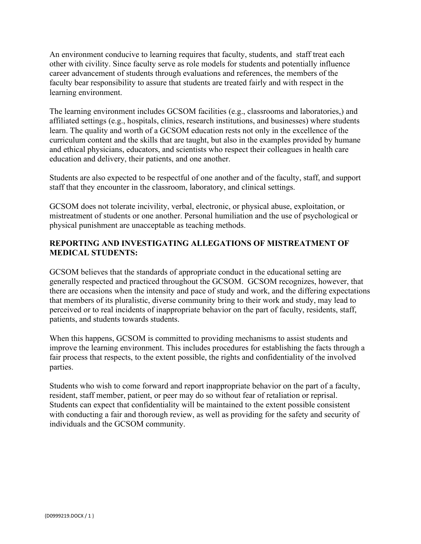An environment conducive to learning requires that faculty, students, and staff treat each other with civility. Since faculty serve as role models for students and potentially influence career advancement of students through evaluations and references, the members of the faculty bear responsibility to assure that students are treated fairly and with respect in the learning environment.

The learning environment includes GCSOM facilities (e.g., classrooms and laboratories,) and affiliated settings (e.g., hospitals, clinics, research institutions, and businesses) where students learn. The quality and worth of a GCSOM education rests not only in the excellence of the curriculum content and the skills that are taught, but also in the examples provided by humane and ethical physicians, educators, and scientists who respect their colleagues in health care education and delivery, their patients, and one another.

Students are also expected to be respectful of one another and of the faculty, staff, and support staff that they encounter in the classroom, laboratory, and clinical settings.

GCSOM does not tolerate incivility, verbal, electronic, or physical abuse, exploitation, or mistreatment of students or one another. Personal humiliation and the use of psychological or physical punishment are unacceptable as teaching methods.

# **REPORTING AND INVESTIGATING ALLEGATIONS OF MISTREATMENT OF MEDICAL STUDENTS:**

GCSOM believes that the standards of appropriate conduct in the educational setting are generally respected and practiced throughout the GCSOM. GCSOM recognizes, however, that there are occasions when the intensity and pace of study and work, and the differing expectations that members of its pluralistic, diverse community bring to their work and study, may lead to perceived or to real incidents of inappropriate behavior on the part of faculty, residents, staff, patients, and students towards students.

When this happens, GCSOM is committed to providing mechanisms to assist students and improve the learning environment. This includes procedures for establishing the facts through a fair process that respects, to the extent possible, the rights and confidentiality of the involved parties.

Students who wish to come forward and report inappropriate behavior on the part of a faculty, resident, staff member, patient, or peer may do so without fear of retaliation or reprisal. Students can expect that confidentiality will be maintained to the extent possible consistent with conducting a fair and thorough review, as well as providing for the safety and security of individuals and the GCSOM community.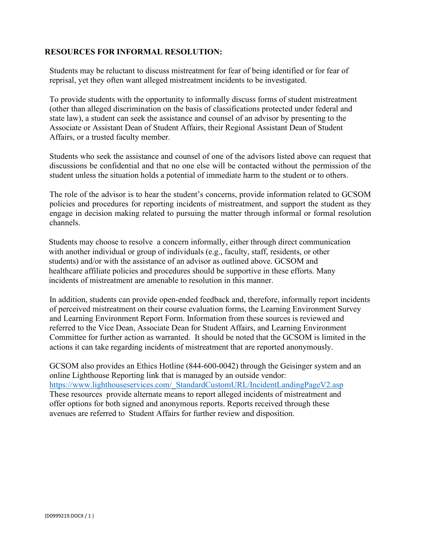## **RESOURCES FOR INFORMAL RESOLUTION:**

Students may be reluctant to discuss mistreatment for fear of being identified or for fear of reprisal, yet they often want alleged mistreatment incidents to be investigated.

To provide students with the opportunity to informally discuss forms of student mistreatment (other than alleged discrimination on the basis of classifications protected under federal and state law), a student can seek the assistance and counsel of an advisor by presenting to the Associate or Assistant Dean of Student Affairs, their Regional Assistant Dean of Student Affairs, or a trusted faculty member.

Students who seek the assistance and counsel of one of the advisors listed above can request that discussions be confidential and that no one else will be contacted without the permission of the student unless the situation holds a potential of immediate harm to the student or to others.

The role of the advisor is to hear the student's concerns, provide information related to GCSOM policies and procedures for reporting incidents of mistreatment, and support the student as they engage in decision making related to pursuing the matter through informal or formal resolution channels.

 Students may choose to resolve a concern informally, either through direct communication with another individual or group of individuals (e.g., faculty, staff, residents, or other students) and/or with the assistance of an advisor as outlined above. GCSOM and healthcare affiliate policies and procedures should be supportive in these efforts. Many incidents of mistreatment are amenable to resolution in this manner.

In addition, students can provide open-ended feedback and, therefore, informally report incidents of perceived mistreatment on their course evaluation forms, the Learning Environment Survey and Learning Environment Report Form. Information from these sources is reviewed and referred to the Vice Dean, Associate Dean for Student Affairs, and Learning Environment Committee for further action as warranted. It should be noted that the GCSOM is limited in the actions it can take regarding incidents of mistreatment that are reported anonymously.

GCSOM also provides an Ethics Hotline (844-600-0042) through the Geisinger system and an online Lighthouse Reporting link that is managed by an outside vendor: [https://www.lighthouseservices.com/\\_StandardCustomURL/IncidentLandingPageV2.asp](https://www.lighthouseservices.com/_StandardCustomURL/IncidentLandingPageV2.asp) These resources provide alternate means to report alleged incidents of mistreatment and offer options for both signed and anonymous reports. Reports received through these avenues are referred to Student Affairs for further review and disposition.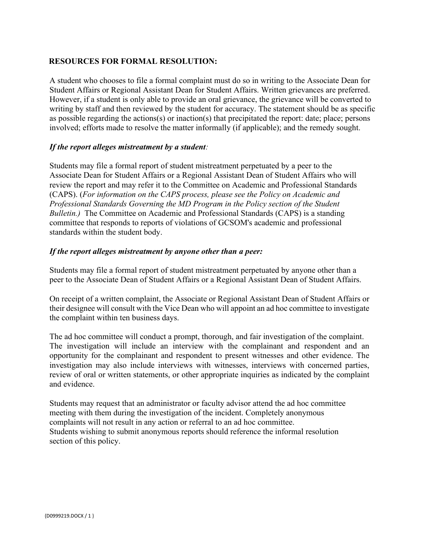## **RESOURCES FOR FORMAL RESOLUTION:**

A student who chooses to file a formal complaint must do so in writing to the Associate Dean for Student Affairs or Regional Assistant Dean for Student Affairs. Written grievances are preferred. However, if a student is only able to provide an oral grievance, the grievance will be converted to writing by staff and then reviewed by the student for accuracy. The statement should be as specific as possible regarding the actions(s) or inaction(s) that precipitated the report: date; place; persons involved; efforts made to resolve the matter informally (if applicable); and the remedy sought.

## *If the report alleges mistreatment by a student:*

Students may file a formal report of student mistreatment perpetuated by a peer to the Associate Dean for Student Affairs or a Regional Assistant Dean of Student Affairs who will review the report and may refer it to the Committee on Academic and Professional Standards (CAPS). (*For information on the CAPS process, please see the Policy on Academic and Professional Standards Governing the MD Program in the Policy section of the Student Bulletin.*) The Committee on Academic and Professional Standards (CAPS) is a standing committee that responds to reports of violations of GCSOM's academic and professional standards within the student body.

## *If the report alleges mistreatment by anyone other than a peer:*

Students may file a formal report of student mistreatment perpetuated by anyone other than a peer to the Associate Dean of Student Affairs or a Regional Assistant Dean of Student Affairs.

On receipt of a written complaint, the Associate or Regional Assistant Dean of Student Affairs or their designee will consult with the Vice Dean who will appoint an ad hoc committee to investigate the complaint within ten business days.

The ad hoc committee will conduct a prompt, thorough, and fair investigation of the complaint. The investigation will include an interview with the complainant and respondent and an opportunity for the complainant and respondent to present witnesses and other evidence. The investigation may also include interviews with witnesses, interviews with concerned parties, review of oral or written statements, or other appropriate inquiries as indicated by the complaint and evidence.

Students may request that an administrator or faculty advisor attend the ad hoc committee meeting with them during the investigation of the incident. Completely anonymous complaints will not result in any action or referral to an ad hoc committee. Students wishing to submit anonymous reports should reference the informal resolution section of this policy.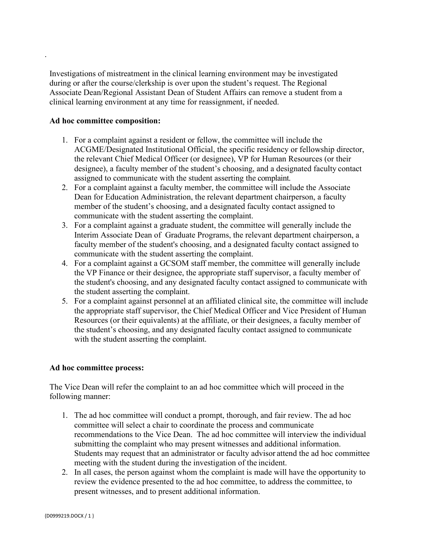Investigations of mistreatment in the clinical learning environment may be investigated during or after the course/clerkship is over upon the student's request. The Regional Associate Dean/Regional Assistant Dean of Student Affairs can remove a student from a clinical learning environment at any time for reassignment, if needed.

#### **Ad hoc committee composition:**

.

- 1. For a complaint against a resident or fellow, the committee will include the ACGME/Designated Institutional Official, the specific residency or fellowship director, the relevant Chief Medical Officer (or designee), VP for Human Resources (or their designee), a faculty member of the student's choosing, and a designated faculty contact assigned to communicate with the student asserting the complaint.
- 2. For a complaint against a faculty member, the committee will include the Associate Dean for Education Administration, the relevant department chairperson, a faculty member of the student's choosing, and a designated faculty contact assigned to communicate with the student asserting the complaint.
- 3. For a complaint against a graduate student, the committee will generally include the Interim Associate Dean of Graduate Programs, the relevant department chairperson, a faculty member of the student's choosing, and a designated faculty contact assigned to communicate with the student asserting the complaint.
- 4. For a complaint against a GCSOM staff member, the committee will generally include the VP Finance or their designee, the appropriate staff supervisor, a faculty member of the student's choosing, and any designated faculty contact assigned to communicate with the student asserting the complaint.
- 5. For a complaint against personnel at an affiliated clinical site, the committee will include the appropriate staff supervisor, the Chief Medical Officer and Vice President of Human Resources (or their equivalents) at the affiliate, or their designees, a faculty member of the student's choosing, and any designated faculty contact assigned to communicate with the student asserting the complaint.

## **Ad hoc committee process:**

The Vice Dean will refer the complaint to an ad hoc committee which will proceed in the following manner:

- 1. The ad hoc committee will conduct a prompt, thorough, and fair review. The ad hoc committee will select a chair to coordinate the process and communicate recommendations to the Vice Dean. The ad hoc committee will interview the individual submitting the complaint who may present witnesses and additional information. Students may request that an administrator or faculty advisor attend the ad hoc committee meeting with the student during the investigation of the incident.
- 2. In all cases, the person against whom the complaint is made will have the opportunity to review the evidence presented to the ad hoc committee, to address the committee, to present witnesses, and to present additional information.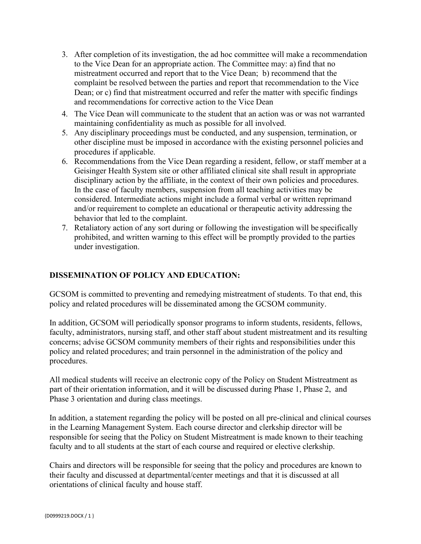- 3. After completion of its investigation, the ad hoc committee will make a recommendation to the Vice Dean for an appropriate action. The Committee may: a) find that no mistreatment occurred and report that to the Vice Dean; b) recommend that the complaint be resolved between the parties and report that recommendation to the Vice Dean; or c) find that mistreatment occurred and refer the matter with specific findings and recommendations for corrective action to the Vice Dean
- 4. The Vice Dean will communicate to the student that an action was or was not warranted maintaining confidentiality as much as possible for all involved.
- 5. Any disciplinary proceedings must be conducted, and any suspension, termination, or other discipline must be imposed in accordance with the existing personnel policies and procedures if applicable.
- 6. Recommendations from the Vice Dean regarding a resident, fellow, or staff member at a Geisinger Health System site or other affiliated clinical site shall result in appropriate disciplinary action by the affiliate, in the context of their own policies and procedures. In the case of faculty members, suspension from all teaching activities may be considered. Intermediate actions might include a formal verbal or written reprimand and/or requirement to complete an educational or therapeutic activity addressing the behavior that led to the complaint.
- 7. Retaliatory action of any sort during or following the investigation will be specifically prohibited, and written warning to this effect will be promptly provided to the parties under investigation.

# **DISSEMINATION OF POLICY AND EDUCATION:**

GCSOM is committed to preventing and remedying mistreatment of students. To that end, this policy and related procedures will be disseminated among the GCSOM community.

In addition, GCSOM will periodically sponsor programs to inform students, residents, fellows, faculty, administrators, nursing staff, and other staff about student mistreatment and its resulting concerns; advise GCSOM community members of their rights and responsibilities under this policy and related procedures; and train personnel in the administration of the policy and procedures.

All medical students will receive an electronic copy of the Policy on Student Mistreatment as part of their orientation information, and it will be discussed during Phase 1, Phase 2, and Phase 3 orientation and during class meetings.

In addition, a statement regarding the policy will be posted on all pre-clinical and clinical courses in the Learning Management System. Each course director and clerkship director will be responsible for seeing that the Policy on Student Mistreatment is made known to their teaching faculty and to all students at the start of each course and required or elective clerkship.

Chairs and directors will be responsible for seeing that the policy and procedures are known to their faculty and discussed at departmental/center meetings and that it is discussed at all orientations of clinical faculty and house staff.